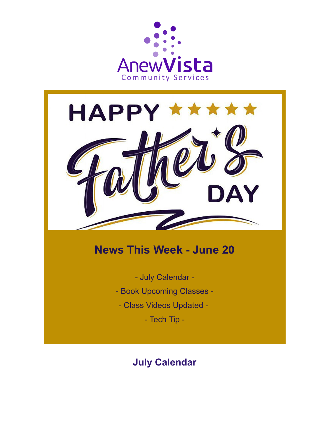



# **News This Week - June 20**

- July Calendar -

- Book Upcoming Classes -
- Class Videos Updated -

- Tech Tip -

# **July Calendar**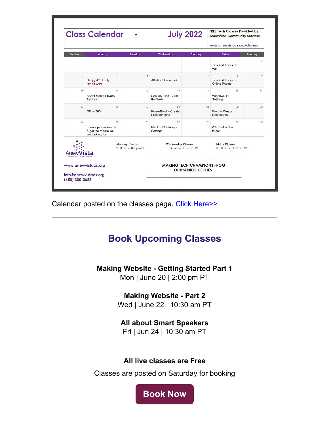|                                             | <b>Class Calendar</b>                                                  |                                                  |                                                               | <b>July 2022</b>       | <b>FREE Tech Classes Provided by:</b><br><b>AnewVista Community Services</b><br>www.anewvistacs.org/classes |                |
|---------------------------------------------|------------------------------------------------------------------------|--------------------------------------------------|---------------------------------------------------------------|------------------------|-------------------------------------------------------------------------------------------------------------|----------------|
| Sunday                                      | Monday                                                                 | <b>Tuesday</b>                                   | Wednesday                                                     | <b>Thursday</b>        | Friday                                                                                                      | Saturday       |
|                                             |                                                                        |                                                  |                                                               |                        | Tips and Tricks on<br>WiFi                                                                                  | $\overline{2}$ |
| 3                                           | $\overline{A}$<br>Happy 4 <sup>th</sup> of July<br>NO CLASS            | 5                                                | 6<br>All about Facebook                                       | $\overline{7}$         | 8<br>Tips and Tricks on<br>Online Photos                                                                    | $\circ$        |
| 10 <sup>°</sup>                             | $11-$<br>Social Media Privacy<br>Settings                              | 12                                               | 13<br>Security Tips - Surf<br>the Web                         | 14                     | 15<br>Windows 11 -<br>Settings                                                                              | 16             |
| 17                                          | 18<br>Office 365                                                       | 19                                               | 20<br>PowerPoint - Create<br><b>Presentations</b>             | 21                     | 22<br>Word - Create<br><b>Documents</b>                                                                     | 23             |
| 24                                          | 25<br>Form a proper search<br>& get the results you<br>are looking for | 26                                               | 27<br>MacOS Monterey -<br>Settings                            | 28                     | 29<br>iOS 15.4 or the<br>latest                                                                             | 30             |
| <b>Community Services</b>                   |                                                                        | <b>Monday Classes</b><br>$2:00$ pm $-3:00$ pm PT | <b>Wednesday Classes</b>                                      | 10:30 am - 11:30 am PT | <b>Friday Classes</b><br>$10:30$ am $-11:30$ am PT                                                          |                |
| www.anewvistacs.org<br>info@anewvistacs.org |                                                                        |                                                  | <b>MAKING TECH CHAMPIONS FROM</b><br><b>OUR SENIOR HEROES</b> |                        |                                                                                                             |                |

Calendar posted on the classes page. [Click Here>>](https://www.anewvistacs.org/classes?utm_source=hs_email&utm_medium=email&_hsenc=p2ANqtz-9eBW0CNDjJ74mv9o0uiujUSACwMChBmabj5SJ8HHTa4O_J_Ct77X8ZqQeIh3kYII2mj-_9)

# **Book Upcoming Classes**

**Making Website - Getting Started Part 1**

Mon | June 20 | 2:00 pm PT

**Making Website - Part 2**

Wed | June 22 | 10:30 am PT

#### **All about Smart Speakers**

Fri | Jun 24 | 10:30 am PT

#### **All live classes are Free**

Classes are posted on Saturday for booking

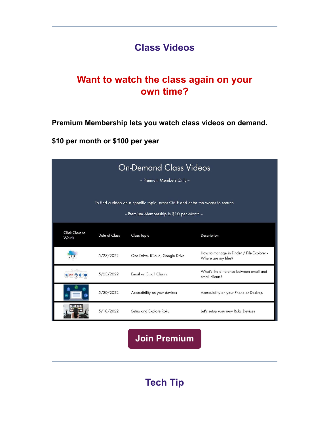# **Class Videos**

# **Want to watch the class again on your own time?**

**Premium Membership lets you watch class videos on demand.**

**\$10 per month or \$100 per year**

| <b>On-Demand Class Videos</b><br>- Premium Members Only -                                                                   |               |                                 |                                                                  |  |  |  |
|-----------------------------------------------------------------------------------------------------------------------------|---------------|---------------------------------|------------------------------------------------------------------|--|--|--|
| To find a video on a specific topic, press Ctrl F and enter the words to search<br>- Premium Membership is \$10 per Month - |               |                                 |                                                                  |  |  |  |
| Click Class to<br>Watch                                                                                                     | Date of Class | <b>Class Topic</b>              | Description                                                      |  |  |  |
|                                                                                                                             | 5/27/2022     | One Drive, iCloud, Google Drive | How to manage in Finder / File Explorer -<br>Where are my files? |  |  |  |
| Fick Email Client                                                                                                           | 5/23/2022     | Email vs. Email Clients         | What's the difference between email and<br>email clients?        |  |  |  |
|                                                                                                                             | 5/20/2022     | Accessibility on your devices   | Accessibility on your Phone or Desktop                           |  |  |  |
|                                                                                                                             | 5/18/2022     | Setup and Explore Roku          | Let's setup your new Roku Devices                                |  |  |  |

**[Join Premium](https://www.anewvistacs.org/membership?utm_source=hs_email&utm_medium=email&_hsenc=p2ANqtz-9eBW0CNDjJ74mv9o0uiujUSACwMChBmabj5SJ8HHTa4O_J_Ct77X8ZqQeIh3kYII2mj-_9)**

**Tech Tip**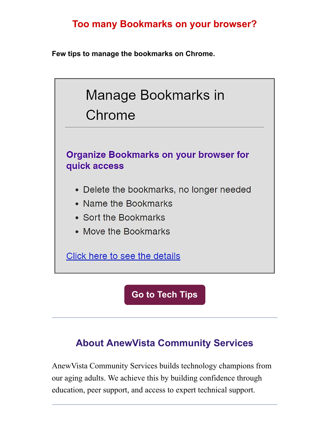# **Too many Bookmarks on your browser?**

**Few tips to manage the bookmarks on Chrome.**



**[Go to Tech Tips](https://www.anewvistacs.org/techtips?utm_source=hs_email&utm_medium=email&_hsenc=p2ANqtz-9eBW0CNDjJ74mv9o0uiujUSACwMChBmabj5SJ8HHTa4O_J_Ct77X8ZqQeIh3kYII2mj-_9)**

# **About AnewVista Community Services**

AnewVista Community Services builds technology champions from our aging adults. We achieve this by building confidence through education, peer support, and access to expert technical support.